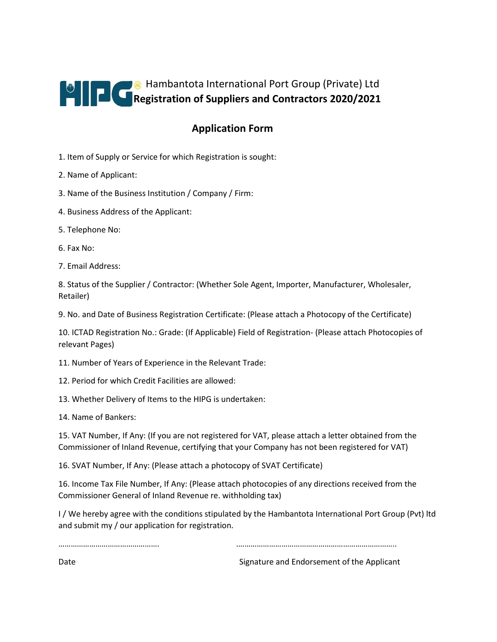

## **Application Form**

- 1. Item of Supply or Service for which Registration is sought:
- 2. Name of Applicant:
- 3. Name of the Business Institution / Company / Firm:
- 4. Business Address of the Applicant:
- 5. Telephone No:
- 6. Fax No:
- 7. Email Address:

8. Status of the Supplier / Contractor: (Whether Sole Agent, Importer, Manufacturer, Wholesaler, Retailer)

9. No. and Date of Business Registration Certificate: (Please attach a Photocopy of the Certificate)

10. ICTAD Registration No.: Grade: (If Applicable) Field of Registration- (Please attach Photocopies of relevant Pages)

11. Number of Years of Experience in the Relevant Trade:

- 12. Period for which Credit Facilities are allowed:
- 13. Whether Delivery of Items to the HIPG is undertaken:
- 14. Name of Bankers:

15. VAT Number, If Any: (If you are not registered for VAT, please attach a letter obtained from the Commissioner of Inland Revenue, certifying that your Company has not been registered for VAT)

16. SVAT Number, If Any: (Please attach a photocopy of SVAT Certificate)

16. Income Tax File Number, If Any: (Please attach photocopies of any directions received from the Commissioner General of Inland Revenue re. withholding tax)

I / We hereby agree with the conditions stipulated by the Hambantota International Port Group (Pvt) ltd and submit my / our application for registration.

…………………………………………. .…………………………………………………………………..

Date **Signature and Endorsement of the Applicant** Signature and Endorsement of the Applicant